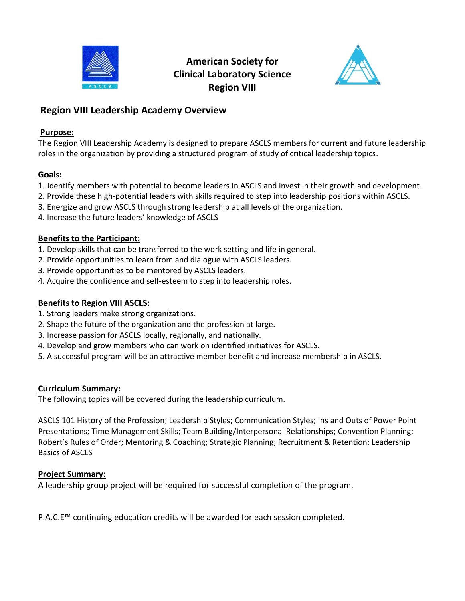



## **Region VIII Leadership Academy Overview**

### **Purpose:**

The Region VIII Leadership Academy is designed to prepare ASCLS members for current and future leadership roles in the organization by providing a structured program of study of critical leadership topics.

## **Goals:**

- 1. Identify members with potential to become leaders in ASCLS and invest in their growth and development.
- 2. Provide these high-potential leaders with skills required to step into leadership positions within ASCLS.
- 3. Energize and grow ASCLS through strong leadership at all levels of the organization.
- 4. Increase the future leaders' knowledge of ASCLS

## **Benefits to the Participant:**

- 1. Develop skills that can be transferred to the work setting and life in general.
- 2. Provide opportunities to learn from and dialogue with ASCLS leaders.
- 3. Provide opportunities to be mentored by ASCLS leaders.
- 4. Acquire the confidence and self-esteem to step into leadership roles.

## **Benefits to Region VIII ASCLS:**

- 1. Strong leaders make strong organizations.
- 2. Shape the future of the organization and the profession at large.
- 3. Increase passion for ASCLS locally, regionally, and nationally.
- 4. Develop and grow members who can work on identified initiatives for ASCLS.
- 5. A successful program will be an attractive member benefit and increase membership in ASCLS.

## **Curriculum Summary:**

The following topics will be covered during the leadership curriculum.

ASCLS 101 History of the Profession; Leadership Styles; Communication Styles; Ins and Outs of Power Point Presentations; Time Management Skills; Team Building/Interpersonal Relationships; Convention Planning; Robert's Rules of Order; Mentoring & Coaching; Strategic Planning; Recruitment & Retention; Leadership Basics of ASCLS

## **Project Summary:**

A leadership group project will be required for successful completion of the program.

P.A.C.E™ continuing education credits will be awarded for each session completed.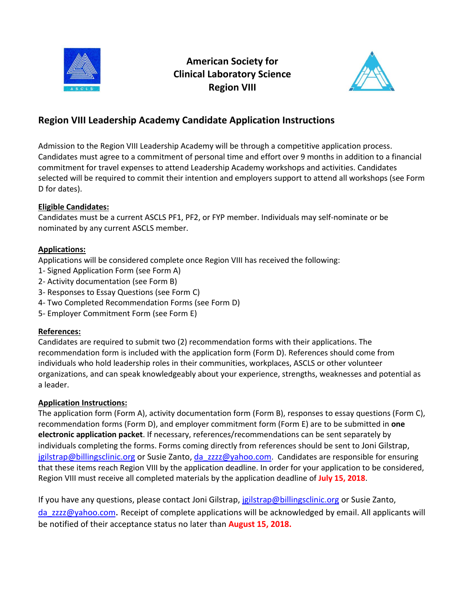



# **Region VIII Leadership Academy Candidate Application Instructions**

Admission to the Region VIII Leadership Academy will be through a competitive application process. Candidates must agree to a commitment of personal time and effort over 9 months in addition to a financial commitment for travel expenses to attend Leadership Academy workshops and activities. Candidates selected will be required to commit their intention and employers support to attend all workshops (see Form D for dates).

#### **Eligible Candidates:**

Candidates must be a current ASCLS PF1, PF2, or FYP member. Individuals may self-nominate or be nominated by any current ASCLS member.

#### **Applications:**

Applications will be considered complete once Region VIII has received the following:

- 1- Signed Application Form (see Form A)
- 2- Activity documentation (see Form B)
- 3- Responses to Essay Questions (see Form C)
- 4- Two Completed Recommendation Forms (see Form D)
- 5- Employer Commitment Form (see Form E)

#### **References:**

Candidates are required to submit two (2) recommendation forms with their applications. The recommendation form is included with the application form (Form D). References should come from individuals who hold leadership roles in their communities, workplaces, ASCLS or other volunteer organizations, and can speak knowledgeably about your experience, strengths, weaknesses and potential as a leader.

## **Application Instructions:**

The application form (Form A), activity documentation form (Form B), responses to essay questions (Form C), recommendation forms (Form D), and employer commitment form (Form E) are to be submitted in **one electronic application packet**. If necessary, references/recommendations can be sent separately by individuals completing the forms. Forms coming directly from references should be sent to Joni Gilstrap, [jgilstrap@billingsclinic.org](mailto:jgilstrap@billingsclinic.org) or Susie Zanto[, da\\_zzzz@yahoo.com](mailto:da_zzzz@yahoo.com). Candidates are responsible for ensuring that these items reach Region VIII by the application deadline. In order for your application to be considered, Region VIII must receive all completed materials by the application deadline of **July 15, 2018**.

If you have any questions, please contact Joni Gilstrap, [jgilstrap@billingsclinic.org](mailto:jgilstrap@billingsclinic.org) or Susie Zanto, da zzzz@yahoo.com. Receipt of complete applications will be acknowledged by email. All applicants will be notified of their acceptance status no later than **August 15, 2018.**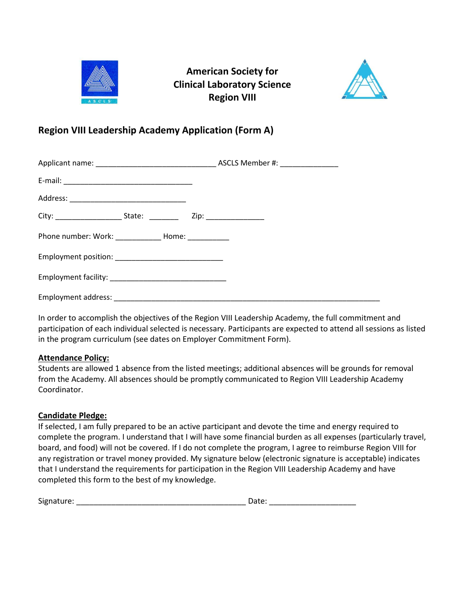



# **Region VIII Leadership Academy Application (Form A)**

| Phone number: Work: ______________ Home: ___________ |  |  |  |  |
|------------------------------------------------------|--|--|--|--|
|                                                      |  |  |  |  |
|                                                      |  |  |  |  |
|                                                      |  |  |  |  |

In order to accomplish the objectives of the Region VIII Leadership Academy, the full commitment and participation of each individual selected is necessary. Participants are expected to attend all sessions as listed in the program curriculum (see dates on Employer Commitment Form).

#### **Attendance Policy:**

Students are allowed 1 absence from the listed meetings; additional absences will be grounds for removal from the Academy. All absences should be promptly communicated to Region VIII Leadership Academy Coordinator.

#### **Candidate Pledge:**

If selected, I am fully prepared to be an active participant and devote the time and energy required to complete the program. I understand that I will have some financial burden as all expenses (particularly travel, board, and food) will not be covered. If I do not complete the program, I agree to reimburse Region VIII for any registration or travel money provided. My signature below (electronic signature is acceptable) indicates that I understand the requirements for participation in the Region VIII Leadership Academy and have completed this form to the best of my knowledge.

| Signature: |  |
|------------|--|
|------------|--|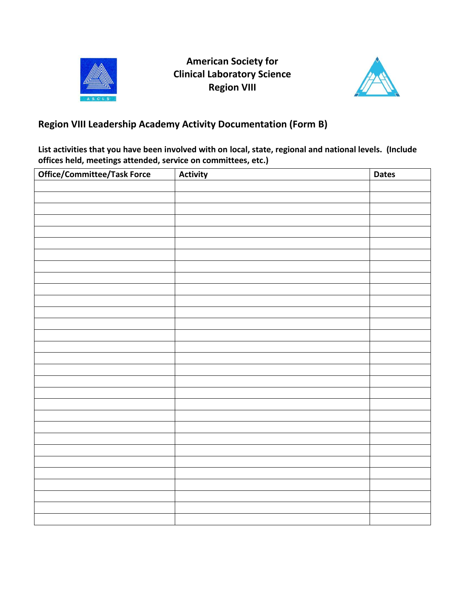



# **Region VIII Leadership Academy Activity Documentation (Form B)**

**List activities that you have been involved with on local, state, regional and national levels. (Include offices held, meetings attended, service on committees, etc.)**

| Office/Committee/Task Force | Activity | <b>Dates</b> |
|-----------------------------|----------|--------------|
|                             |          |              |
|                             |          |              |
|                             |          |              |
|                             |          |              |
|                             |          |              |
|                             |          |              |
|                             |          |              |
|                             |          |              |
|                             |          |              |
|                             |          |              |
|                             |          |              |
|                             |          |              |
|                             |          |              |
|                             |          |              |
|                             |          |              |
|                             |          |              |
|                             |          |              |
|                             |          |              |
|                             |          |              |
|                             |          |              |
|                             |          |              |
|                             |          |              |
|                             |          |              |
|                             |          |              |
|                             |          |              |
|                             |          |              |
|                             |          |              |
|                             |          |              |
|                             |          |              |
|                             |          |              |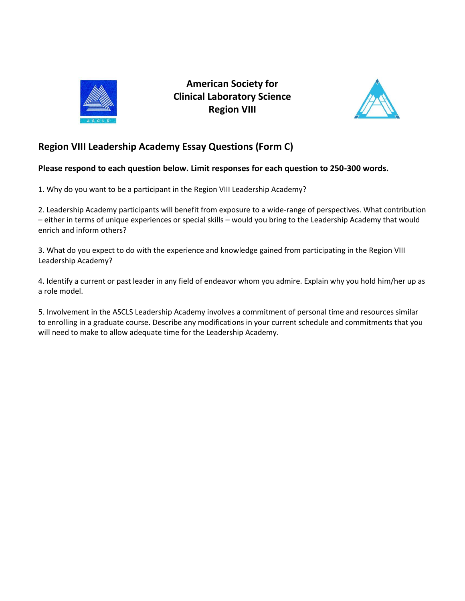



# **Region VIII Leadership Academy Essay Questions (Form C)**

#### **Please respond to each question below. Limit responses for each question to 250-300 words.**

1. Why do you want to be a participant in the Region VIII Leadership Academy?

2. Leadership Academy participants will benefit from exposure to a wide-range of perspectives. What contribution – either in terms of unique experiences or special skills – would you bring to the Leadership Academy that would enrich and inform others?

3. What do you expect to do with the experience and knowledge gained from participating in the Region VIII Leadership Academy?

4. Identify a current or past leader in any field of endeavor whom you admire. Explain why you hold him/her up as a role model.

5. Involvement in the ASCLS Leadership Academy involves a commitment of personal time and resources similar to enrolling in a graduate course. Describe any modifications in your current schedule and commitments that you will need to make to allow adequate time for the Leadership Academy.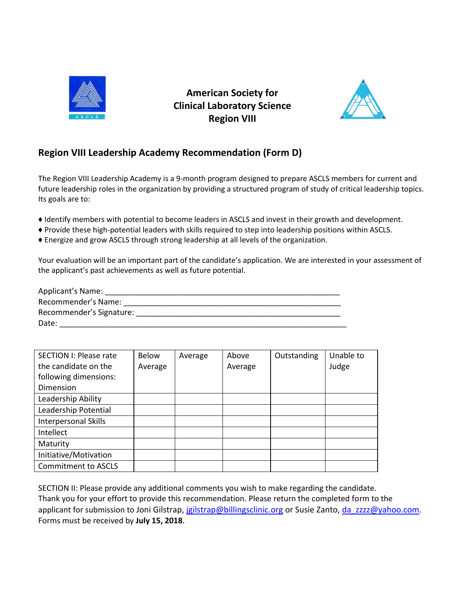



# **Region VIII Leadership Academy Recommendation (Form D)**

The Region VIII Leadership Academy is a 9-month program designed to prepare ASCLS members for current and future leadership roles in the organization by providing a structured program of study of critical leadership topics. Its goals are to:

- ♦ Identify members with potential to become leaders in ASCLS and invest in their growth and development.
- ♦ Provide these high-potential leaders with skills required to step into leadership positions within ASCLS.
- ♦ Energize and grow ASCLS through strong leadership at all levels of the organization.

Your evaluation will be an important part of the candidate's application. We are interested in your assessment of the applicant's past achievements as well as future potential.

| <b>Applicant's Name:</b> |  |
|--------------------------|--|
| Recommender's Name:      |  |
| Recommender's Signature: |  |
| Date:                    |  |

| <b>SECTION I: Please rate</b> | Below   | Average | Above   | Outstanding | Unable to |
|-------------------------------|---------|---------|---------|-------------|-----------|
| the candidate on the          | Average |         | Average |             | Judge     |
| following dimensions:         |         |         |         |             |           |
| Dimension                     |         |         |         |             |           |
| Leadership Ability            |         |         |         |             |           |
| Leadership Potential          |         |         |         |             |           |
| <b>Interpersonal Skills</b>   |         |         |         |             |           |
| Intellect                     |         |         |         |             |           |
| Maturity                      |         |         |         |             |           |
| Initiative/Motivation         |         |         |         |             |           |
| <b>Commitment to ASCLS</b>    |         |         |         |             |           |

SECTION II: Please provide any additional comments you wish to make regarding the candidate. Thank you for your effort to provide this recommendation. Please return the completed form to the applicant for submission to Joni Gilstrap, [jgilstrap@billingsclinic.org](mailto:jgilstrap@billingsclinic.org) or Susie Zanto, [da\\_zzzz@yahoo.com](mailto:da_zzzz@yahoo.com). Forms must be received by **July 15, 2018**.